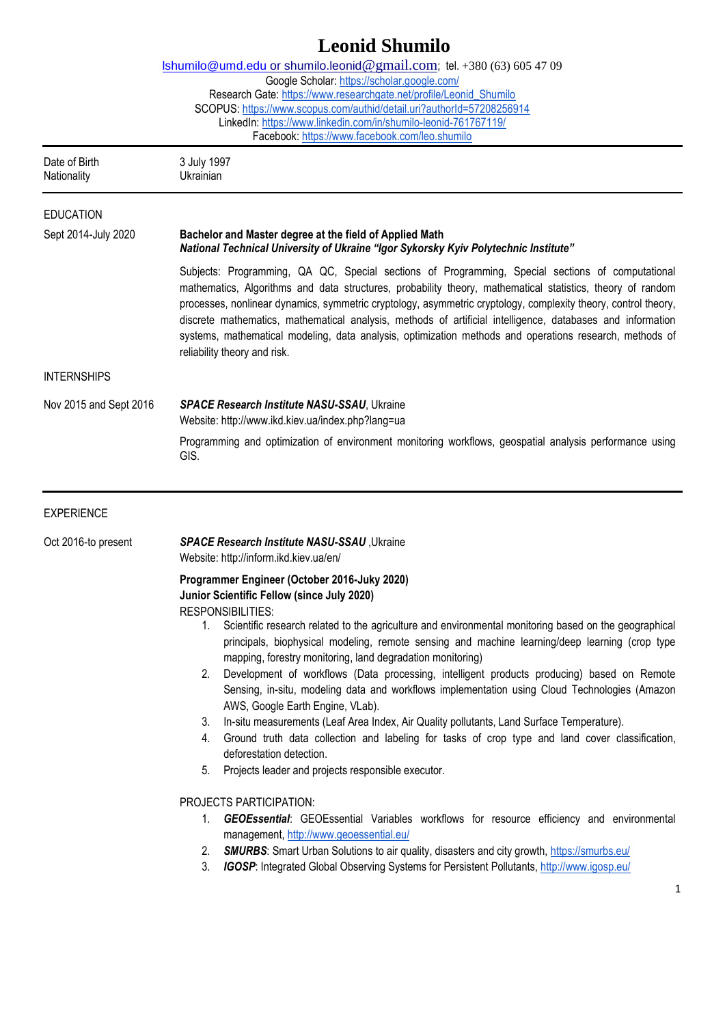## **Leonid Shumilo** [lshumilo@umd.edu](mailto:lshumilo@umd.edu) or shumilo.leonid[@gmail.com](mailto:shumilo.oksana@gmail.com); tel. +380 (63) 605 47 09 Google Scholar:<https://scholar.google.com/> Research Gate[: https://www.researchgate.net/profile/Leonid\\_Shumilo](https://www.researchgate.net/profile/Leonid_Shumilo) SCOPUS:<https://www.scopus.com/authid/detail.uri?authorId=57208256914> LinkedIn:<https://www.linkedin.com/in/shumilo-leonid-761767119/> Facebook:<https://www.facebook.com/leo.shumilo> Date of Birth 3 July 1997 Nationality Ukrainian EDUCATION Sept 2014-July 2020 **Bachelor and Master degree at the field of Applied Math** *National Technical University of Ukraine "Igor Sykorsky Kyiv Polytechnic Institute"* Subjects: Programming, QA QC, Special sections of Programming, Special sections of computational mathematics, Algorithms and data structures, probability theory, mathematical statistics, theory of random processes, nonlinear dynamics, symmetric cryptology, asymmetric cryptology, complexity theory, control theory, discrete mathematics, mathematical analysis, methods of artificial intelligence, databases and information systems, mathematical modeling, data analysis, optimization methods and operations research, methods of reliability theory and risk. INTERNSHIPS Nov 2015 and Sept 2016 *SPACE Research Institute NASU-SSAU*, Ukraine Website:<http://www.ikd.kiev.ua/index.php?lang=ua> Programming and optimization of environment monitoring workflows, geospatial analysis performance using GIS. EXPERIENCE Oct 2016-to present *SPACE Research Institute NASU-SSAU* ,Ukraine Website: http://inform.ikd.kiev.ua/en/ **Programmer Engineer (October 2016-Juky 2020) Junior Scientific Fellow (since July 2020)** RESPONSIBILITIES: 1. Scientific research related to the agriculture and environmental monitoring based on the geographical principals, biophysical modeling, remote sensing and machine learning/deep learning (crop type mapping, forestry monitoring, land degradation monitoring) 2. Development of workflows (Data processing, intelligent products producing) based on Remote Sensing, in-situ, modeling data and workflows implementation using Cloud Technologies (Amazon AWS, Google Earth Engine, VLab). 3. In-situ measurements (Leaf Area Index, Air Quality pollutants, Land Surface Temperature). 4. Ground truth data collection and labeling for tasks of crop type and land cover classification, deforestation detection. 5. Projects leader and projects responsible executor. PROJECTS PARTICIPATION: 1. *GEOEssential*: GEOEssential Variables workflows for resource efficiency and environmental management,<http://www.geoessential.eu/> 2. *SMURBS*: Smart Urban Solutions to air quality, disasters and city growth,<https://smurbs.eu/> 3. *IGOSP*: Integrated Global Observing Systems for Persistent Pollutants,<http://www.igosp.eu/>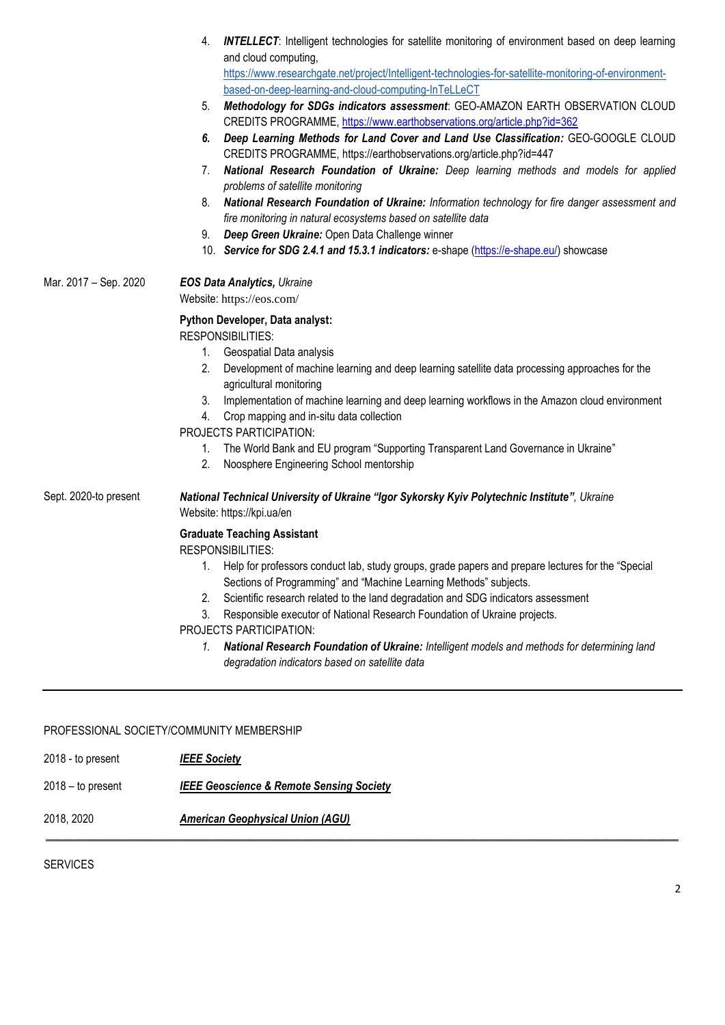|                       | <b>INTELLECT:</b> Intelligent technologies for satellite monitoring of environment based on deep learning<br>4.<br>and cloud computing,                                      |
|-----------------------|------------------------------------------------------------------------------------------------------------------------------------------------------------------------------|
|                       | https://www.researchgate.net/project/Intelligent-technologies-for-satellite-monitoring-of-environment-                                                                       |
|                       | based-on-deep-learning-and-cloud-computing-InTeLLeCT                                                                                                                         |
|                       | Methodology for SDGs indicators assessment: GEO-AMAZON EARTH OBSERVATION CLOUD<br>5.<br>CREDITS PROGRAMME, https://www.earthobservations.org/article.php?id=362              |
|                       | Deep Learning Methods for Land Cover and Land Use Classification: GEO-GOOGLE CLOUD<br>6.<br>CREDITS PROGRAMME, https://earthobservations.org/article.php?id=447              |
|                       | National Research Foundation of Ukraine: Deep learning methods and models for applied<br>7.<br>problems of satellite monitoring                                              |
|                       | National Research Foundation of Ukraine: Information technology for fire danger assessment and<br>8.<br>fire monitoring in natural ecosystems based on satellite data        |
|                       | Deep Green Ukraine: Open Data Challenge winner<br>9.                                                                                                                         |
|                       | 10. Service for SDG 2.4.1 and 15.3.1 indicators: e-shape (https://e-shape.eu/) showcase                                                                                      |
| Mar. 2017 - Sep. 2020 | <b>EOS Data Analytics, Ukraine</b><br>Website: https://eos.com/                                                                                                              |
|                       | Python Developer, Data analyst:                                                                                                                                              |
|                       | <b>RESPONSIBILITIES:</b>                                                                                                                                                     |
|                       | Geospatial Data analysis<br>1.                                                                                                                                               |
|                       | 2.<br>Development of machine learning and deep learning satellite data processing approaches for the<br>agricultural monitoring                                              |
|                       | 3. Implementation of machine learning and deep learning workflows in the Amazon cloud environment                                                                            |
|                       | 4. Crop mapping and in-situ data collection<br>PROJECTS PARTICIPATION:                                                                                                       |
|                       | 1. The World Bank and EU program "Supporting Transparent Land Governance in Ukraine"                                                                                         |
|                       | Noosphere Engineering School mentorship<br>2.                                                                                                                                |
| Sept. 2020-to present | National Technical University of Ukraine "Igor Sykorsky Kyiv Polytechnic Institute", Ukraine<br>Website: https://kpi.ua/en                                                   |
|                       | <b>Graduate Teaching Assistant</b><br><b>RESPONSIBILITIES:</b>                                                                                                               |
|                       | Help for professors conduct lab, study groups, grade papers and prepare lectures for the "Special<br>1.<br>Sections of Programming" and "Machine Learning Methods" subjects. |
|                       | Scientific research related to the land degradation and SDG indicators assessment<br>2.                                                                                      |
|                       | Responsible executor of National Research Foundation of Ukraine projects.<br>3.                                                                                              |
|                       | PROJECTS PARTICIPATION:                                                                                                                                                      |
|                       | National Research Foundation of Ukraine: Intelligent models and methods for determining land<br>1.<br>degradation indicators based on satellite data                         |

**\_\_\_\_\_\_\_\_\_\_\_\_\_\_\_\_\_\_\_\_\_\_\_\_\_\_\_\_\_\_\_\_\_\_\_\_\_\_\_\_\_\_\_\_\_\_\_\_\_\_\_\_\_\_\_\_\_\_\_\_\_\_\_\_\_\_\_\_\_\_\_\_\_\_\_\_\_\_\_\_\_\_\_\_\_\_\_\_\_\_\_\_\_\_\_\_\_\_\_\_\_\_\_\_\_\_\_\_\_\_\_\_\_\_**

## PROFESSIONAL SOCIETY/COMMUNITY MEMBERSHIP

2018 - to present *IEEE Society*

2018 – to present *IEEE Geoscience & Remote Sensing Society*

2018, 2020 *American Geophysical Union (AGU)*

SERVICES